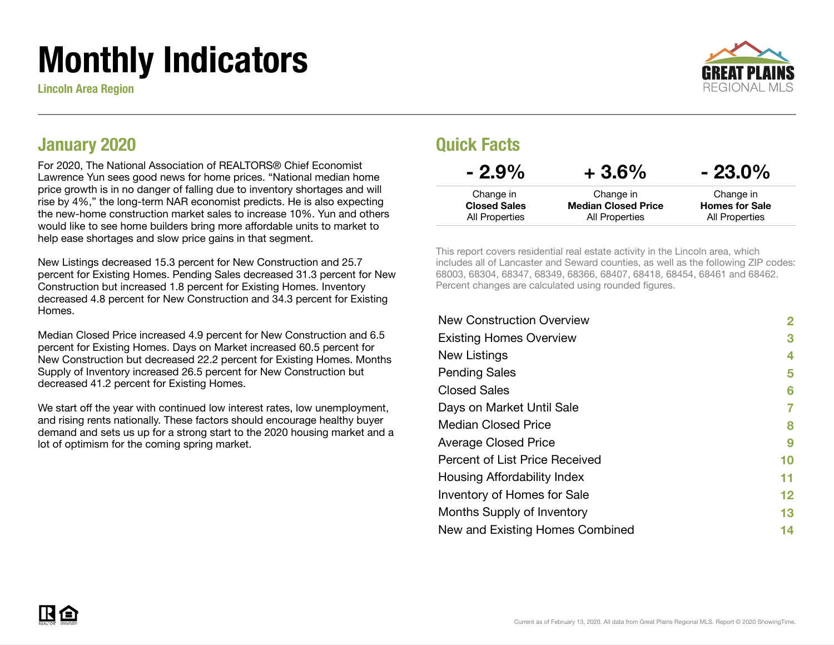# Monthly Indicators

Lincoln Area Region



#### January 2020

For 2020, The National Association of REALTORS® Chief Economist Lawrence Yun sees good news for home prices. "National median home price growth is in no danger of falling due to inventory shortages and will rise by 4%," the long-term NAR economist predicts. He is also expecting the new-home construction market sales to increase 10%. Yun and others would like to see home builders bring more affordable units to market to help ease shortages and slow price gains in that segment.

New Listings decreased 15.3 percent for New Construction and 25.7 percent for Existing Homes. Pending Sales decreased 31.3 percent for New Construction but increased 1.8 percent for Existing Homes. Inventory decreased 4.8 percent for New Construction and 34.3 percent for Existing **Homes** 

Median Closed Price increased 4.9 percent for New Construction and 6.5 percent for Existing Homes. Days on Market increased 60.5 percent for New Construction but decreased 22.2 percent for Existing Homes. Months Supply of Inventory increased 26.5 percent for New Construction but decreased 41.2 percent for Existing Homes.

We start off the year with continued low interest rates, low unemployment, and rising rents nationally. These factors should encourage healthy buyer demand and sets us up for a strong start to the 2020 housing market and a lot of optimism for the coming spring market.

#### Quick Facts

| $-2.9\%$                         | $+3.6\%$                                | $-23.0\%$                          |
|----------------------------------|-----------------------------------------|------------------------------------|
| Change in<br><b>Closed Sales</b> | Change in<br><b>Median Closed Price</b> | Change in<br><b>Homes for Sale</b> |
| All Properties                   | All Properties                          | All Properties                     |

This report covers residential real estate activity in the Lincoln area, which includes all of Lancaster and Seward counties, as well as the following ZIP codes: 68003, 68304, 68347, 68349, 68366, 68407, 68418, 68454, 68461 and 68462. Percent changes are calculated using rounded figures.

| 2                 |
|-------------------|
| 3                 |
| 4                 |
| 5                 |
| 6                 |
| 7                 |
| 8                 |
| 9                 |
| 10                |
| 11                |
| $12 \ \mathsf{ }$ |
| 13                |
| 14                |
|                   |

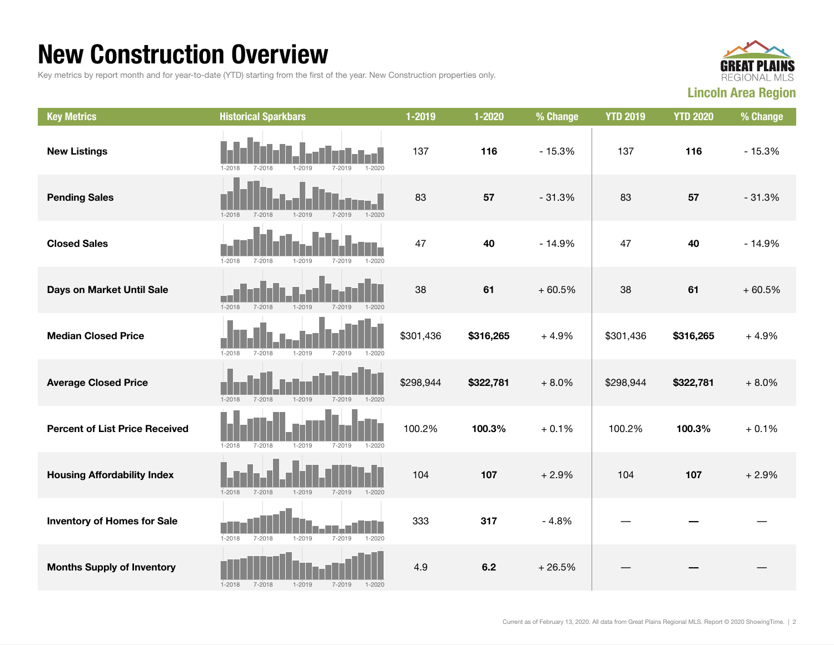### New Construction Overview

Key metrics by report month and for year-to-date (YTD) starting from the first of the year. New Construction properties only.



| <b>Key Metrics</b>                    | <b>Historical Sparkbars</b>                                        | 1-2019    | 1-2020    | % Change | <b>YTD 2019</b> | <b>YTD 2020</b> | % Change |
|---------------------------------------|--------------------------------------------------------------------|-----------|-----------|----------|-----------------|-----------------|----------|
| <b>New Listings</b>                   | $1 - 2018$<br>$7 - 2018$<br>$1 - 2019$<br>7-2019<br>1-2020         | 137       | 116       | $-15.3%$ | 137             | 116             | $-15.3%$ |
| <b>Pending Sales</b>                  | $1 - 2019$<br>$1 - 2018$<br>7-2018<br>$7 - 2019$<br>$1 - 2020$     | 83        | 57        | $-31.3%$ | 83              | 57              | $-31.3%$ |
| <b>Closed Sales</b>                   | $1 - 2018$<br>$7 - 2018$<br>$7 - 2019$<br>1-2019<br>1-2020         | 47        | 40        | $-14.9%$ | 47              | 40              | $-14.9%$ |
| Days on Market Until Sale             | $1 - 2018$<br>$7 - 2018$<br>$1 - 2019$<br>$1 - 2020$<br>$7 - 2019$ | 38        | 61        | $+60.5%$ | 38              | 61              | $+60.5%$ |
| <b>Median Closed Price</b>            | $1 - 2018$<br>7-2018<br>$1 - 2019$<br>7-2019<br>$1 - 2020$         | \$301,436 | \$316,265 | $+4.9%$  | \$301,436       | \$316,265       | $+4.9%$  |
| <b>Average Closed Price</b>           | $1 - 2018$<br>7-2018<br>$1 - 2019$<br>7-2019<br>$1 - 2020$         | \$298,944 | \$322,781 | $+8.0%$  | \$298,944       | \$322,781       | $+8.0%$  |
| <b>Percent of List Price Received</b> | $1 - 2019$<br>$1 - 2018$<br>$7 - 2018$<br>7-2019<br>$1 - 2020$     | 100.2%    | 100.3%    | $+0.1%$  | 100.2%          | 100.3%          | $+0.1%$  |
| <b>Housing Affordability Index</b>    | $1 - 2018$<br>$1 - 2019$<br>7-2018<br>$7 - 2019$<br>$1 - 2020$     | 104       | 107       | $+2.9%$  | 104             | 107             | $+2.9%$  |
| <b>Inventory of Homes for Sale</b>    | $7 - 2018$<br>$7 - 2019$<br>$1 - 2020$<br>$1 - 2018$<br>$1 - 2019$ | 333       | 317       | $-4.8%$  |                 |                 |          |
| <b>Months Supply of Inventory</b>     | $7 - 2018$<br>$1 - 2018$<br>$1 - 2019$<br>$7 - 2019$<br>$1 - 2020$ | 4.9       | 6.2       | $+26.5%$ |                 |                 |          |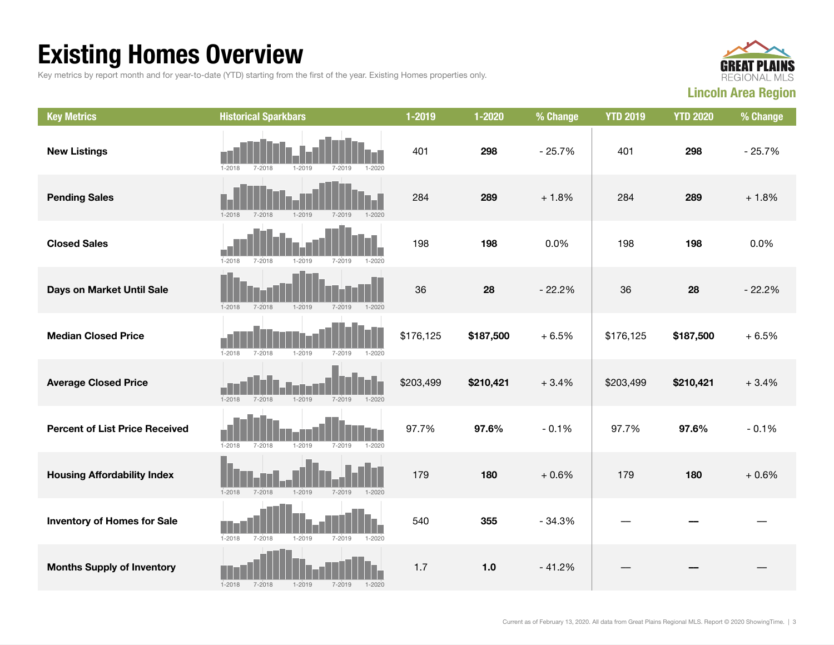## Existing Homes Overview

Key metrics by report month and for year-to-date (YTD) starting from the first of the year. Existing Homes properties only.



| <b>Key Metrics</b>                    | <b>Historical Sparkbars</b>                                        | 1-2019    | 1-2020    | % Change | <b>YTD 2019</b> | <b>YTD 2020</b> | % Change |
|---------------------------------------|--------------------------------------------------------------------|-----------|-----------|----------|-----------------|-----------------|----------|
| <b>New Listings</b>                   | $1 - 2018$<br>$7 - 2018$<br>$1 - 2019$<br>7-2019<br>1-2020         | 401       | 298       | $-25.7%$ | 401             | 298             | $-25.7%$ |
| <b>Pending Sales</b>                  | $1 - 2019$<br>$1 - 2018$<br>$7 - 2018$<br>$7 - 2019$<br>$1 - 2020$ | 284       | 289       | $+1.8%$  | 284             | 289             | $+1.8%$  |
| <b>Closed Sales</b>                   | $1 - 2018$<br>$1 - 2019$<br>$7 - 2019$<br>7-2018<br>$1 - 2020$     | 198       | 198       | 0.0%     | 198             | 198             | 0.0%     |
| Days on Market Until Sale             | $1 - 2019$<br>$1 - 2018$<br>$7 - 2018$<br>$7 - 2019$<br>$1 - 2020$ | 36        | 28        | $-22.2%$ | 36              | 28              | $-22.2%$ |
| <b>Median Closed Price</b>            | $1 - 2018$<br>$1 - 2019$<br>7-2018<br>7-2019<br>$1 - 2020$         | \$176,125 | \$187,500 | $+6.5%$  | \$176,125       | \$187,500       | $+6.5%$  |
| <b>Average Closed Price</b>           | $1 - 2018$<br>$7 - 2018$<br>$1 - 2019$<br>$7 - 2019$<br>$1 - 2020$ | \$203,499 | \$210,421 | $+3.4%$  | \$203,499       | \$210,421       | $+3.4%$  |
| <b>Percent of List Price Received</b> | $1 - 2019$<br>$1 - 2018$<br>$7 - 2018$<br>$7 - 2019$<br>$1 - 2020$ | 97.7%     | 97.6%     | $-0.1%$  | 97.7%           | 97.6%           | $-0.1%$  |
| <b>Housing Affordability Index</b>    | $1 - 2019$<br>$1 - 2018$<br>$7 - 2018$<br>7-2019<br>$1 - 2020$     | 179       | 180       | $+0.6%$  | 179             | 180             | $+0.6%$  |
| <b>Inventory of Homes for Sale</b>    | $1 - 2018$<br>$1 - 2019$<br>7-2018<br>7-2019<br>$1 - 2020$         | 540       | 355       | $-34.3%$ |                 |                 |          |
| <b>Months Supply of Inventory</b>     | 7-2018<br>$1 - 2019$<br>$1 - 2018$<br>7-2019<br>$1 - 2020$         | 1.7       | 1.0       | $-41.2%$ |                 |                 |          |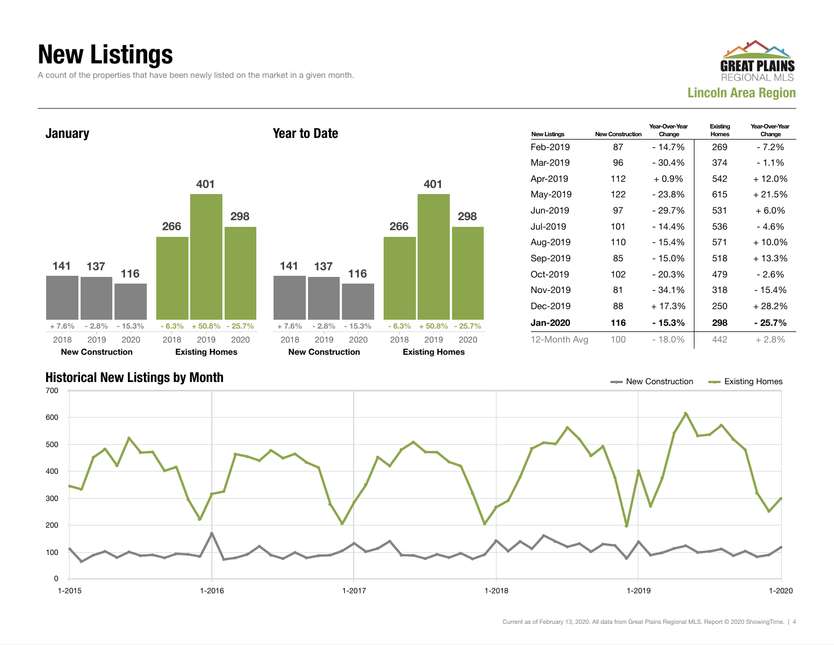## New Listings

A count of the properties that have been newly listed on the market in a given month.





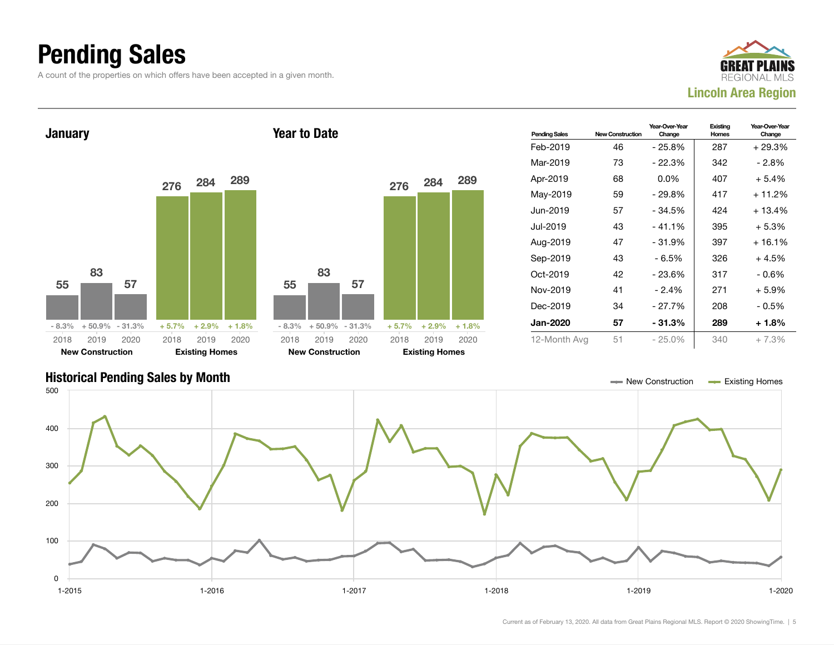### Pending Sales

A count of the properties on which offers have been accepted in a given month.





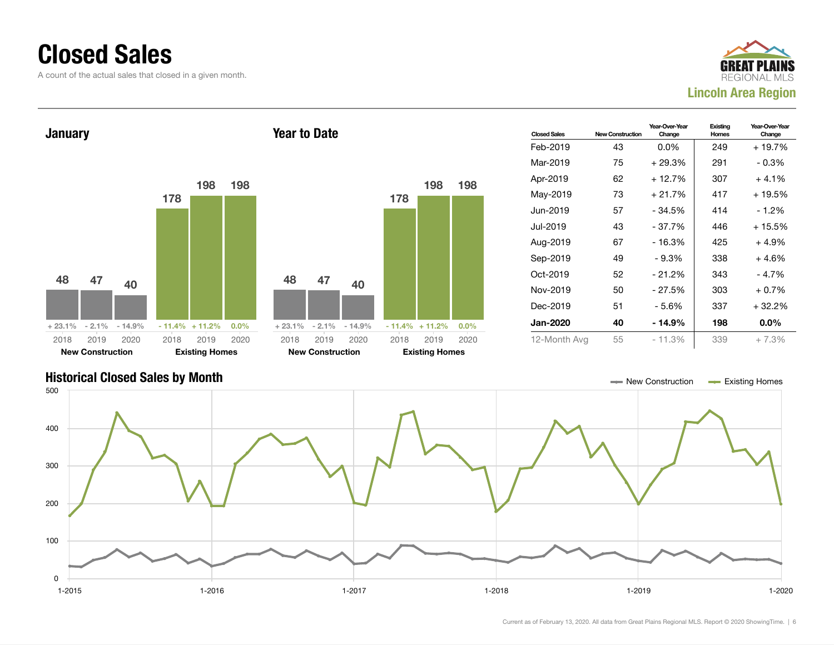#### Closed Sales

0

100

200

300

400

A count of the actual sales that closed in a given month.





1-2015 1-2016 1-2017 1-2018 1-2019 1-2020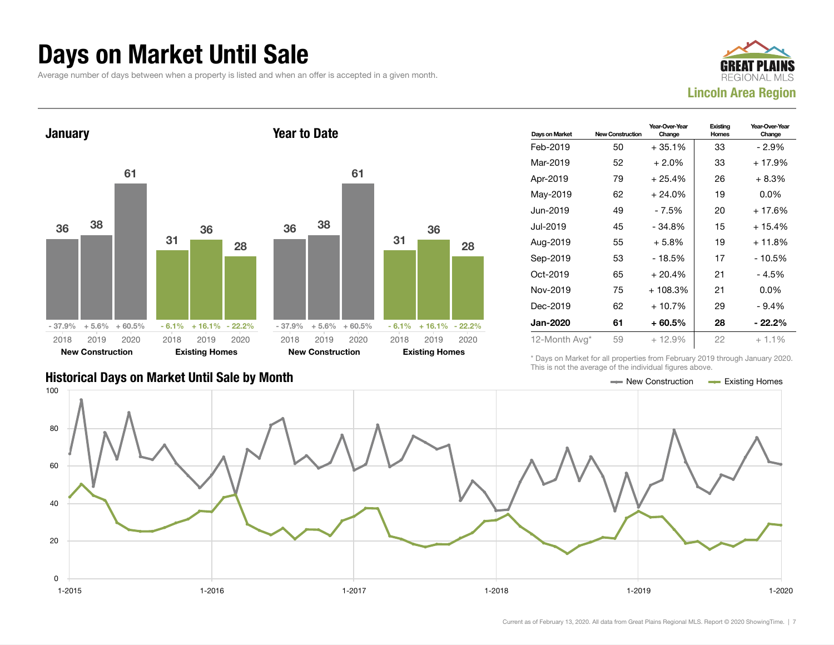#### Days on Market Until Sale

Average number of days between when a property is listed and when an offer is accepted in a given month.





#### Historical Days on Market Until Sale by Month New York New York New York New Construction And Existing Homes

| Days on Market  | <b>New Construction</b> | Year-Over-Year<br>Change | Existing<br>Homes | Year-Over-Year<br>Change |
|-----------------|-------------------------|--------------------------|-------------------|--------------------------|
| Feb-2019        | 50                      | $+35.1%$                 | 33                | - 2.9%                   |
| Mar-2019        | 52                      | $+2.0%$                  | 33                | + 17.9%                  |
| Apr-2019        | 79                      | $+25.4%$                 | 26                | $+8.3%$                  |
| May-2019        | 62                      | $+24.0\%$                | 19                | $0.0\%$                  |
| Jun-2019        | 49                      | - 7.5%                   | 20                | $+17.6%$                 |
| Jul-2019        | 45                      | $-34.8%$                 | 15                | $+15.4%$                 |
| Aug-2019        | 55                      | $+5.8\%$                 | 19                | $+11.8%$                 |
| Sep-2019        | 53                      | $-18.5%$                 | 17                | $-10.5%$                 |
| Oct-2019        | 65                      | $+20.4%$                 | 21                | - 4.5%                   |
| Nov-2019        | 75                      | $+108.3%$                | 21                | $0.0\%$                  |
| Dec-2019        | 62                      | + 10.7%                  | 29                | $-9.4%$                  |
| <b>Jan-2020</b> | 61                      | $+60.5\%$                | 28                | - 22.2%                  |
| 12-Month Avg*   | 59                      | $+12.9%$                 | 22                | $+1.1\%$                 |

\* Days on Market for all properties from February 2019 through January 2020. This is not the average of the individual figures above.

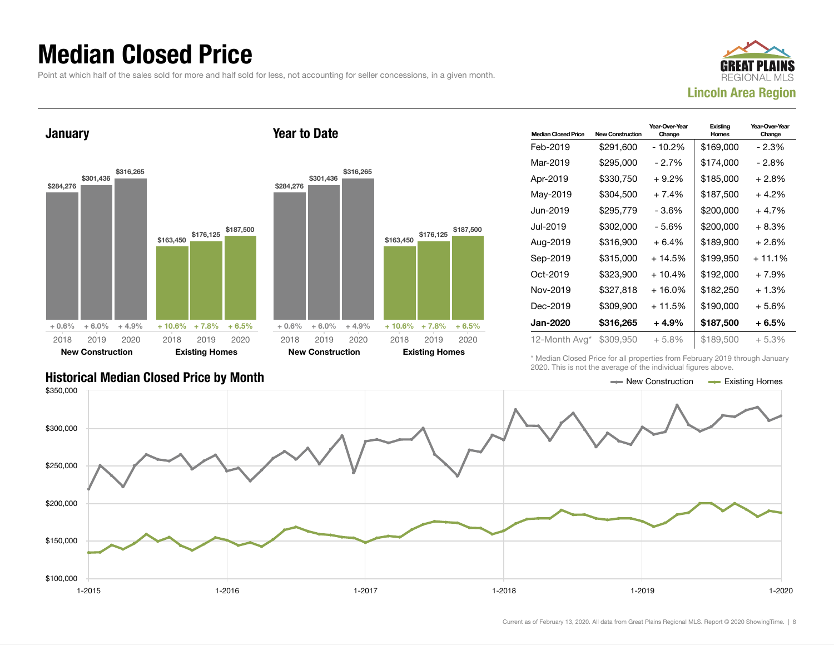### Median Closed Price

Point at which half of the sales sold for more and half sold for less, not accounting for seller concessions, in a given month.



**January** \$284,276 \$301,436 \$316,265  $+0.6\% + 6.0\% + 4.9\%$ \$163,450 \$176,125 \$187,500  $+ 10.6\% + 7.8\% + 6.5\%$ 2018 New Construction 2019 2020 2018 Existing Homes 2019 2020 Year to Date \$284,276 \$301,436 \$316,265  $+0.6\% + 6.0\% + 4.9\%$ \$163,450 + 10.6% + 7.8% + 6.5% 2018 New Construction 2019 2020 2018 Existing Homes

| <b>Median Closed Price</b> | <b>New Construction</b> | Year-Over-Year<br>Change | Existing<br>Homes | Year-Over-Year<br>Change |
|----------------------------|-------------------------|--------------------------|-------------------|--------------------------|
| Feb-2019                   | \$291,600               | - 10.2%                  | \$169,000         | - 2.3%                   |
| Mar-2019                   | \$295,000               | - 2.7%                   | \$174,000         | - 2.8%                   |
| Apr-2019                   | \$330.750               | $+9.2\%$                 | \$185,000         | $+2.8%$                  |
| May-2019                   | \$304,500               | $+7.4%$                  | \$187,500         | $+4.2%$                  |
| Jun-2019.                  | \$295,779               | $-3.6%$                  | \$200,000         | $+4.7%$                  |
| Jul-2019                   | \$302,000               | - 5.6%                   | \$200,000         | $+8.3%$                  |
| Aug-2019                   | \$316,900               | $+6.4%$                  | \$189,900         | $+2.6%$                  |
| Sep-2019                   | \$315,000               | + 14.5%                  | \$199,950         | $+11.1%$                 |
| Oct-2019                   | \$323,900               | $+10.4%$                 | \$192,000         | $+7.9%$                  |
| Nov-2019                   | \$327,818               | $+16.0%$                 | \$182,250         | $+1.3%$                  |
| Dec-2019                   | \$309,900               | + 11.5%                  | \$190,000         | $+5.6%$                  |
| Jan-2020                   | \$316,265               | $+4.9%$                  | \$187,500         | $+6.5%$                  |
| 12-Month Avg*              | \$309,950               | $+5.8%$                  | \$189,500         | $+5.3%$                  |

\* Median Closed Price for all properties from February 2019 through January 2020. This is not the average of the individual figures above.



\$176,125 \$187,500

2019 2020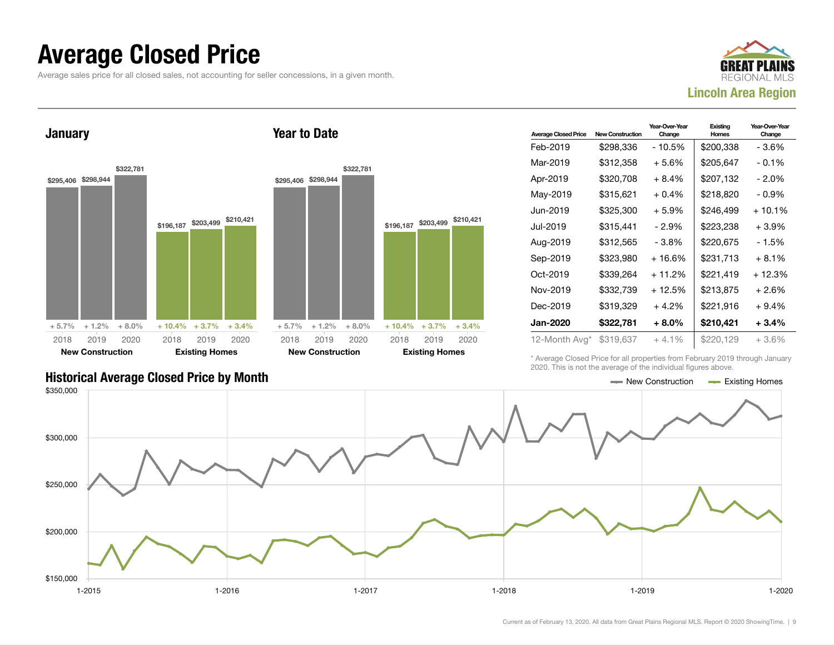#### Average Closed Price

Average sales price for all closed sales, not accounting for seller concessions, in a given month.



January



Year to Date

| <b>Average Closed Price</b> | New Construction | Year-Over-Year<br>Change | Existing<br>Homes | Year-Over-Year<br>Change |
|-----------------------------|------------------|--------------------------|-------------------|--------------------------|
| Feb-2019                    | \$298,336        | $-10.5%$                 | \$200,338         | - 3.6%                   |
| Mar-2019                    | \$312,358        | $+5.6%$                  | \$205,647         | $-0.1%$                  |
| Apr-2019                    | \$320.708        | $+8.4%$                  | \$207.132         | $-2.0\%$                 |
| May-2019                    | \$315.621        | $+0.4%$                  | \$218,820         | $-0.9\%$                 |
| Jun-2019.                   | \$325,300        | $+5.9%$                  | \$246,499         | $+10.1\%$                |
| Jul-2019                    | \$315,441        | - 2.9%                   | \$223,238         | $+3.9%$                  |
| Aug-2019                    | \$312,565        | $-3.8%$                  | \$220,675         | $-1.5%$                  |
| Sep-2019                    | \$323,980        | + 16.6%                  | \$231.713         | $+8.1%$                  |
| Oct-2019                    | \$339,264        | $+11.2%$                 | \$221,419         | $+12.3%$                 |
| Nov-2019                    | \$332,739        | $+12.5%$                 | \$213,875         | $+2.6%$                  |
| Dec-2019                    | \$319,329        | $+4.2%$                  | \$221,916         | $+9.4%$                  |
| Jan-2020                    | \$322,781        | $+8.0\%$                 | \$210,421         | $+3.4%$                  |
| 12-Month Avg*               | \$319,637        | $+4.1%$                  | \$220.129         | $+3.6%$                  |

\* Average Closed Price for all properties from February 2019 through January 2020. This is not the average of the individual figures above.

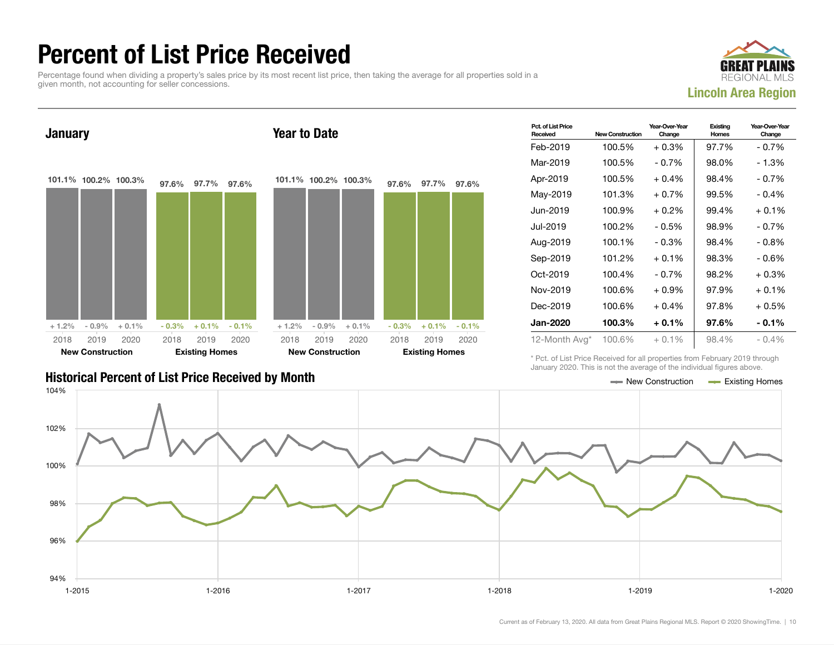### Percent of List Price Received

Percentage found when dividing a property's sales price by its most recent list price, then taking the average for all properties sold in a given month, not accounting for seller concessions.





| <b>Historical Percent of List Price Received by Month</b> | — New Construction | <b>Existing Homes</b> |
|-----------------------------------------------------------|--------------------|-----------------------|

| Pct. of List Price<br>Received | <b>New Construction</b> | Year-Over-Year<br>Change | Existing<br><b>Homes</b> | Year-Over-Year<br>Change |
|--------------------------------|-------------------------|--------------------------|--------------------------|--------------------------|
| Feb-2019                       | 100.5%                  | $+0.3%$                  | 97.7%                    | $-0.7%$                  |
| Mar-2019                       | 100.5%                  | $-0.7%$                  | 98.0%                    | - 1.3%                   |
| Apr-2019                       | 100.5%                  | $+0.4%$                  | 98.4%                    | $-0.7%$                  |
| May-2019                       | 101.3%                  | $+0.7%$                  | 99.5%                    | $-0.4%$                  |
| Jun-2019                       | 100.9%                  | $+0.2\%$                 | 99.4%                    | $+0.1%$                  |
| Jul-2019.                      | 100.2%                  | $-0.5%$                  | 98.9%                    | $-0.7%$                  |
| Aug-2019                       | 100.1%                  | $-0.3%$                  | 98.4%                    | $-0.8%$                  |
| Sep-2019                       | 101.2%                  | $+0.1\%$                 | 98.3%                    | - 0.6%                   |
| Oct-2019                       | 100.4%                  | $-0.7\%$                 | 98.2%                    | $+0.3%$                  |
| Nov-2019                       | 100.6%                  | $+0.9%$                  | 97.9%                    | $+0.1%$                  |
| Dec-2019                       | 100.6%                  | $+0.4%$                  | 97.8%                    | $+0.5%$                  |
| <b>Jan-2020</b>                | 100.3%                  | $+0.1%$                  | 97.6%                    | $-0.1\%$                 |
| 12-Month Avg*                  | 100.6%                  | $+0.1%$                  | 98.4%                    | $-0.4\%$                 |

\* Pct. of List Price Received for all properties from February 2019 through January 2020. This is not the average of the individual figures above.

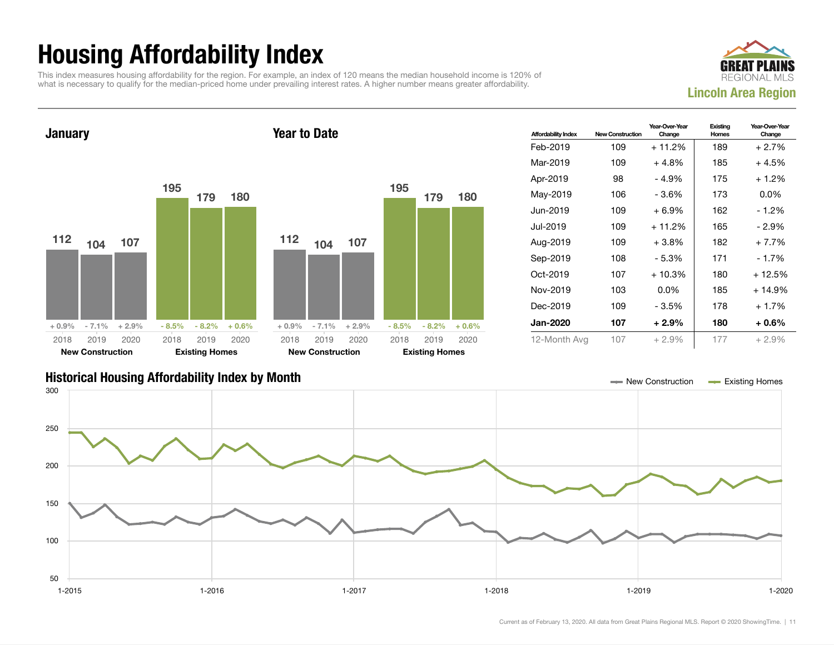## Housing Affordability Index

This index measures housing affordability for the region. For example, an index of 120 means the median household income is 120% of what is necessary to qualify for the median-priced home under prevailing interest rates. A higher number means greater affordability.



**January** 112 104 107  $+0.9\%$  - 7.1% + 2.9% 195 179 180  $-8.5\% - 8.2\% + 0.6\%$ 2018 New Construction 2019 2020 2018 Existing Homes 2019 2020 Year to Date 112 104 107  $+0.9\%$  - 7.1% + 2.9% 195 179 180  $-8.5\% - 8.2\% + 0.6\%$ 2018 New Construction 2019 2020 2018 Existing Homes 2019 2020

| <b>Affordability Index</b> | <b>New Construction</b> | Year-Over-Year<br>Change | Existing<br>Homes | Year-Over-Year<br>Change |
|----------------------------|-------------------------|--------------------------|-------------------|--------------------------|
| Feb-2019                   | 109                     | $+11.2%$                 | 189               | $+2.7%$                  |
| Mar-2019                   | 109                     | $+4.8\%$                 | 185               | $+4.5%$                  |
| Apr-2019                   | 98                      | - 4.9%                   | 175               | $+1.2%$                  |
| May-2019                   | 106                     | - 3.6%                   | 173               | $0.0\%$                  |
| Jun-2019                   | 109                     | $+6.9\%$                 | 162               | - 1.2%                   |
| Jul-2019.                  | 109                     | + 11.2%                  | 165               | - 2.9%                   |
| Aug-2019                   | 109                     | $+3.8\%$                 | 182               | $+7.7%$                  |
| Sep-2019                   | 108                     | - 5.3%                   | 171               | - 1.7%                   |
| Oct-2019                   | 107                     | $+10.3%$                 | 180               | + 12.5%                  |
| Nov-2019                   | 103                     | $0.0\%$                  | 185               | + 14.9%                  |
| Dec-2019                   | 109                     | - 3.5%                   | 178               | $+1.7%$                  |
| <b>Jan-2020</b>            | 107                     | $+2.9%$                  | 180               | $+0.6\%$                 |
| 12-Month Avg               | 107                     | $+2.9%$                  | 177               | $+2.9%$                  |

#### Historical Housing Affordability Index by Month New Construction Existing Homes

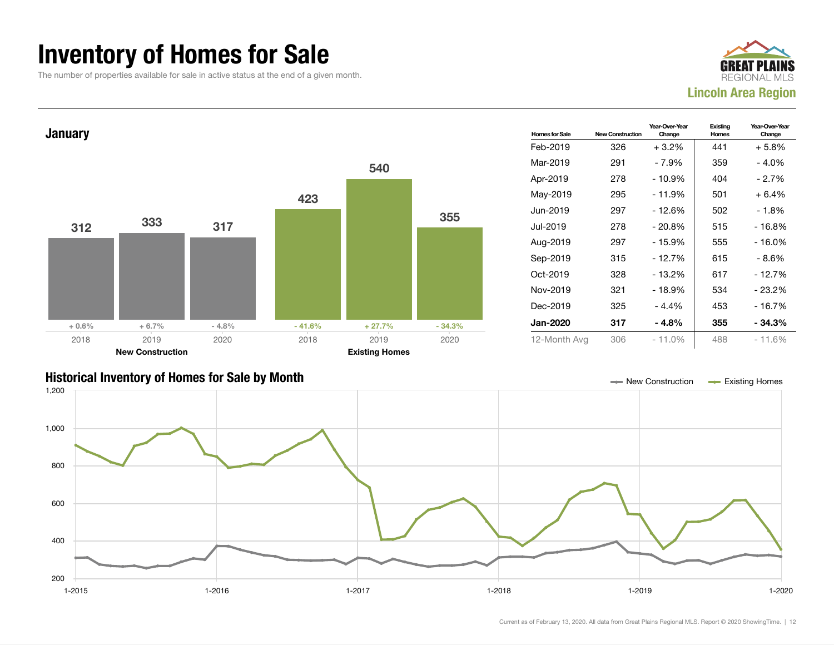### Inventory of Homes for Sale

The number of properties available for sale in active status at the end of a given month.





#### Historical Inventory of Homes for Sale by Month New York 1000 and New Construction Accounts Homes Existing Homes

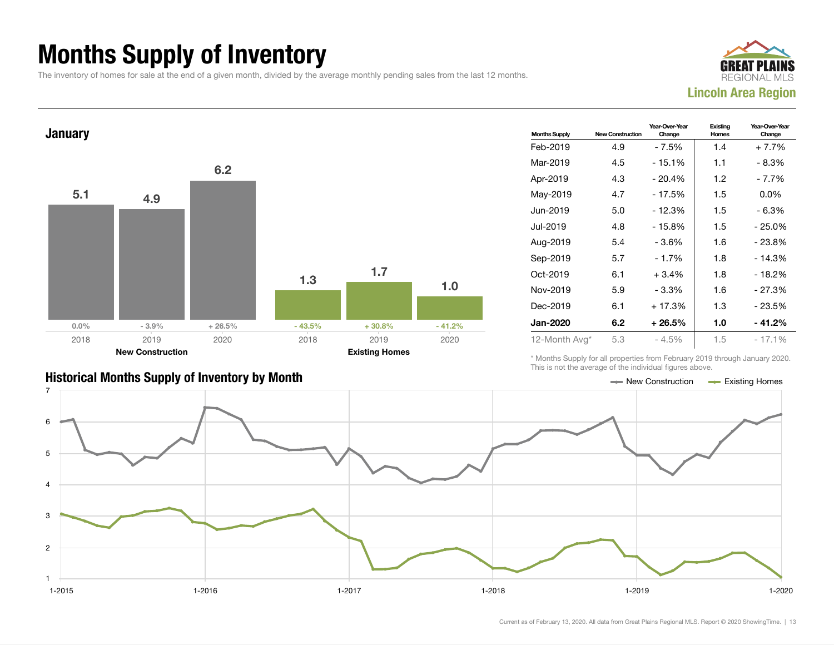## Months Supply of Inventory

The inventory of homes for sale at the end of a given month, divided by the average monthly pending sales from the last 12 months.





| <b>Months Supply</b> | <b>New Construction</b> | Year-Over-Year<br>Change | Existing<br>Homes | Year-Over-Year<br>Change |
|----------------------|-------------------------|--------------------------|-------------------|--------------------------|
| Feb-2019             | 4.9                     | - 7.5%                   | 1.4               | $+7.7%$                  |
| Mar-2019             | 4.5                     | - 15.1%                  | 1.1               | - 8.3%                   |
| Apr-2019             | 4.3                     | $-20.4%$                 | 1.2               | - 7.7%                   |
| May-2019             | 4.7                     | - 17.5%                  | 1.5               | $0.0\%$                  |
| Jun-2019             | 5.0                     | $-12.3%$                 | 1.5               | $-6.3%$                  |
| Jul-2019             | 4.8                     | $-15.8%$                 | 1.5               | - 25.0%                  |
| Aug-2019             | 5.4                     | - 3.6%                   | 1.6               | - 23.8%                  |
| Sep-2019             | 5.7                     | $-1.7%$                  | 1.8               | $-14.3%$                 |
| Oct-2019             | 6.1                     | $+3.4%$                  | 1.8               | $-18.2%$                 |
| Nov-2019             | 5.9                     | $-3.3%$                  | 1.6               | $-27.3%$                 |
| Dec-2019             | 6.1                     | $+17.3%$                 | 1.3               | - 23.5%                  |
| <b>Jan-2020</b>      | 6.2                     | $+26.5%$                 | 1.0               | - 41.2%                  |
| 12-Month Avg*        | 5.3                     | $-4.5%$                  | 1.5               | $-17.1%$                 |

\* Months Supply for all properties from February 2019 through January 2020. This is not the average of the individual figures above.